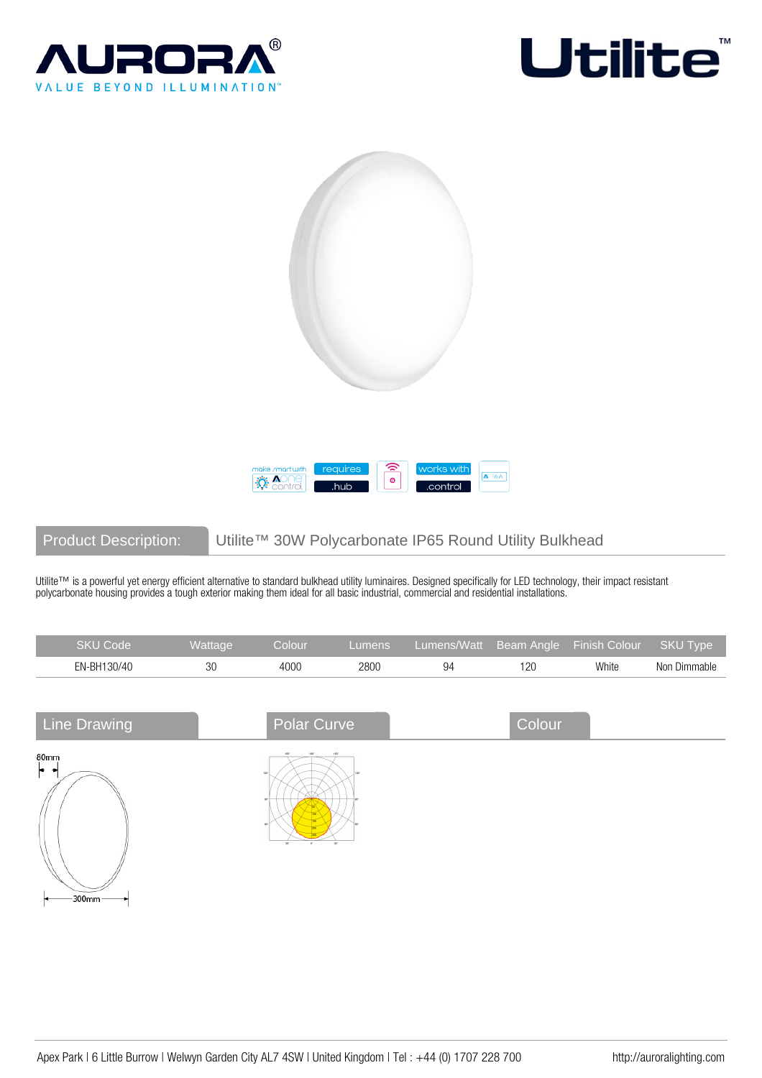







# Product Description: Utilite™ 30W Polycarbonate IP65 Round Utility Bulkhead

Utilite™ is a powerful yet energy efficient alternative to standard bulkhead utility luminaires. Designed specifically for LED technology, their impact resistant polycarbonate housing provides a tough exterior making them ideal for all basic industrial, commercial and residential installations.

| <b>SKU Code</b> | Wattage | Colour | Lumens | Lumens/Watt Beam Angle Finish Colour |     |       | SKU Type     |
|-----------------|---------|--------|--------|--------------------------------------|-----|-------|--------------|
| EN-BH130/40     |         | 4000   | 2800   | 94                                   | 120 | White | Non Dimmable |